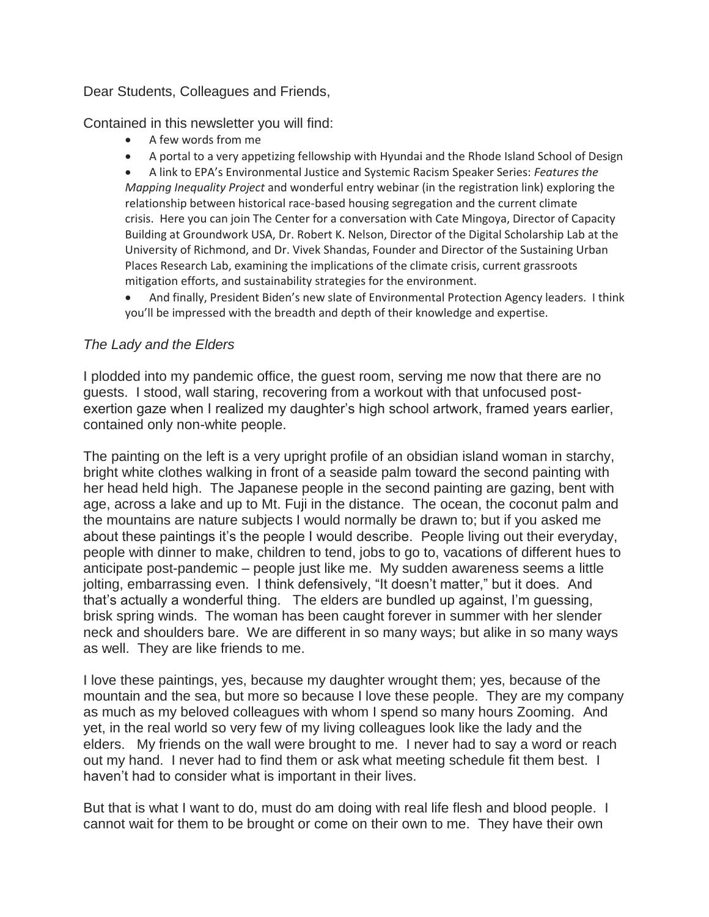#### Dear Students, Colleagues and Friends,

Contained in this newsletter you will find:

- A few words from me
- A portal to a very appetizing fellowship with Hyundai and the Rhode Island School of Design

 A link to EPA's Environmental Justice and Systemic Racism Speaker Series: *Features the Mapping Inequality Project* and wonderful entry webinar (in the registration link) exploring the relationship between historical race-based housing segregation and the current climate crisis. Here you can join The Center for a conversation with Cate Mingoya, Director of Capacity Building at Groundwork USA, Dr. Robert K. Nelson, Director of the Digital Scholarship Lab at the University of Richmond, and Dr. Vivek Shandas, Founder and Director of the Sustaining Urban Places Research Lab, examining the implications of the climate crisis, current grassroots mitigation efforts, and sustainability strategies for the environment.

 And finally, President Biden's new slate of Environmental Protection Agency leaders. I think you'll be impressed with the breadth and depth of their knowledge and expertise.

#### *The Lady and the Elders*

I plodded into my pandemic office, the guest room, serving me now that there are no guests. I stood, wall staring, recovering from a workout with that unfocused postexertion gaze when I realized my daughter's high school artwork, framed years earlier, contained only non-white people.

The painting on the left is a very upright profile of an obsidian island woman in starchy, bright white clothes walking in front of a seaside palm toward the second painting with her head held high. The Japanese people in the second painting are gazing, bent with age, across a lake and up to Mt. Fuji in the distance. The ocean, the coconut palm and the mountains are nature subjects I would normally be drawn to; but if you asked me about these paintings it's the people I would describe. People living out their everyday, people with dinner to make, children to tend, jobs to go to, vacations of different hues to anticipate post-pandemic – people just like me. My sudden awareness seems a little jolting, embarrassing even. I think defensively, "It doesn't matter," but it does. And that's actually a wonderful thing. The elders are bundled up against, I'm guessing, brisk spring winds. The woman has been caught forever in summer with her slender neck and shoulders bare. We are different in so many ways; but alike in so many ways as well. They are like friends to me.

I love these paintings, yes, because my daughter wrought them; yes, because of the mountain and the sea, but more so because I love these people. They are my company as much as my beloved colleagues with whom I spend so many hours Zooming. And yet, in the real world so very few of my living colleagues look like the lady and the elders. My friends on the wall were brought to me. I never had to say a word or reach out my hand. I never had to find them or ask what meeting schedule fit them best. I haven't had to consider what is important in their lives.

But that is what I want to do, must do am doing with real life flesh and blood people. I cannot wait for them to be brought or come on their own to me. They have their own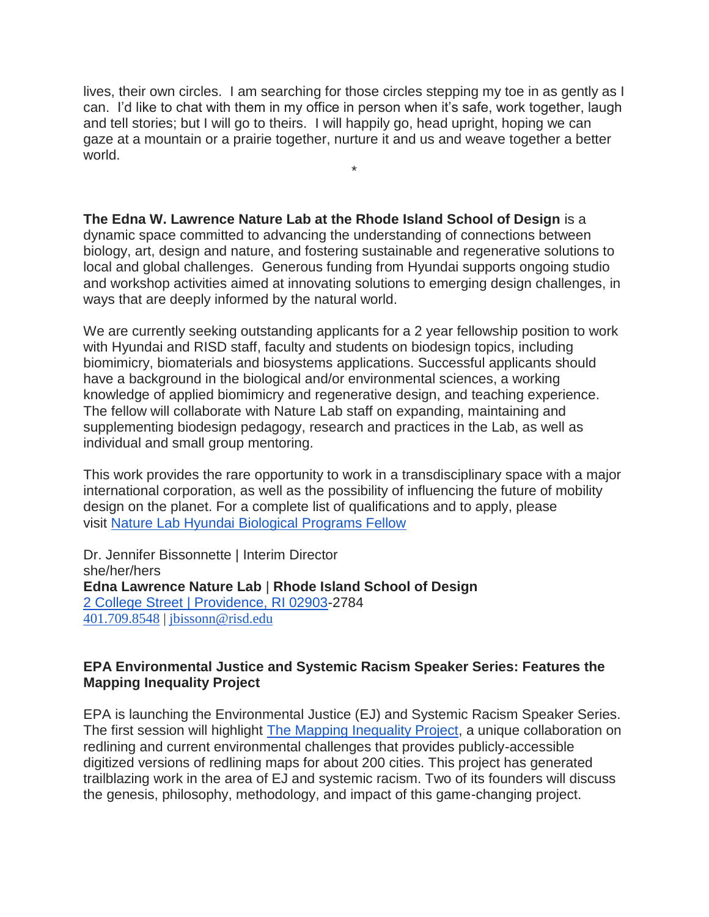lives, their own circles. I am searching for those circles stepping my toe in as gently as I can. I'd like to chat with them in my office in person when it's safe, work together, laugh and tell stories; but I will go to theirs. I will happily go, head upright, hoping we can gaze at a mountain or a prairie together, nurture it and us and weave together a better world.

\*

**The Edna W. Lawrence Nature Lab at the Rhode Island School of Design** is a dynamic space committed to advancing the understanding of connections between biology, art, design and nature, and fostering sustainable and regenerative solutions to local and global challenges. Generous funding from Hyundai supports ongoing studio and workshop activities aimed at innovating solutions to emerging design challenges, in ways that are deeply informed by the natural world.

We are currently seeking outstanding applicants for a 2 year fellowship position to work with Hyundai and RISD staff, faculty and students on biodesign topics, including biomimicry, biomaterials and biosystems applications. Successful applicants should have a background in the biological and/or environmental sciences, a working knowledge of applied biomimicry and regenerative design, and teaching experience. The fellow will collaborate with Nature Lab staff on expanding, maintaining and supplementing biodesign pedagogy, research and practices in the Lab, as well as individual and small group mentoring.

This work provides the rare opportunity to work in a transdisciplinary space with a major international corporation, as well as the possibility of influencing the future of mobility design on the planet. For a complete list of qualifications and to apply, please visit [Nature Lab Hyundai Biological Programs Fellow](https://urldefense.com/v3/__https:/risd.wd5.myworkdayjobs.com/RISD/job/Providence/Nature-Lab-Hyundai-Biological-Programs-Fellow_R-00614-1__;!!IKRxdwAv5BmarQ!KOqHn4AbDaabNR6wtkdmxb9U657Njy6BEz9UMkrGCwNIPflpvCJR2Gv-IJFGNoFHh5nw9Q$)

Dr. Jennifer Bissonnette | Interim Director she/her/hers **Edna Lawrence Nature Lab** | **Rhode Island School of Design** [2 College Street | Providence, RI 02903-](https://urldefense.com/v3/__https:/maps.google.com/?q=2*College*Street**A7C*Providence,*RI*02903&entry=gmail&source=g__;KysrJSsrKw!!IKRxdwAv5BmarQ!NIndSQYBD7F-sCaA4gHYV-hDhqQVIaPySbEQ1hbL-TR7Y-2CsLLQbPRvyrVsUwszYkmABQ$)2784 [401.709.8548](https://urldefense.com/v3/__http:/401.709.8548/__;!!IKRxdwAv5BmarQ!NIndSQYBD7F-sCaA4gHYV-hDhqQVIaPySbEQ1hbL-TR7Y-2CsLLQbPRvyrVsUwtBlMxNFQ$) | [jbissonn@risd.edu](mailto:jbissonn@risd.edu)

## **EPA Environmental Justice and Systemic Racism Speaker Series: Features the Mapping Inequality Project**

EPA is launching the Environmental Justice (EJ) and Systemic Racism Speaker Series. The first session will highlight [The Mapping Inequality Project,](https://gcc01.safelinks.protection.outlook.com/?url=https%3A%2F%2Fdsl.richmond.edu%2Fpanorama%2Fredlining%2F&data=04%7C01%7CMotilall.Christina%40epa.gov%7C68a9e69f31ad46ba699808d8be43cc54%7C88b378b367484867acf976aacbeca6a7%7C0%7C0%7C637468545689344168%7CUnknown%7CTWFpbGZsb3d8eyJWIjoiMC4wLjAwMDAiLCJQIjoiV2luMzIiLCJBTiI6Ik1haWwiLCJXVCI6Mn0%3D%7C1000&sdata=F%2BQInOWMhgOwWHzdZ13b2Dnhjr%2B9uZmrK9X1kZUA3ac%3D&reserved=0) a unique collaboration on redlining and current environmental challenges that provides publicly-accessible digitized versions of redlining maps for about 200 cities. This project has generated trailblazing work in the area of EJ and systemic racism. Two of its founders will discuss the genesis, philosophy, methodology, and impact of this game-changing project.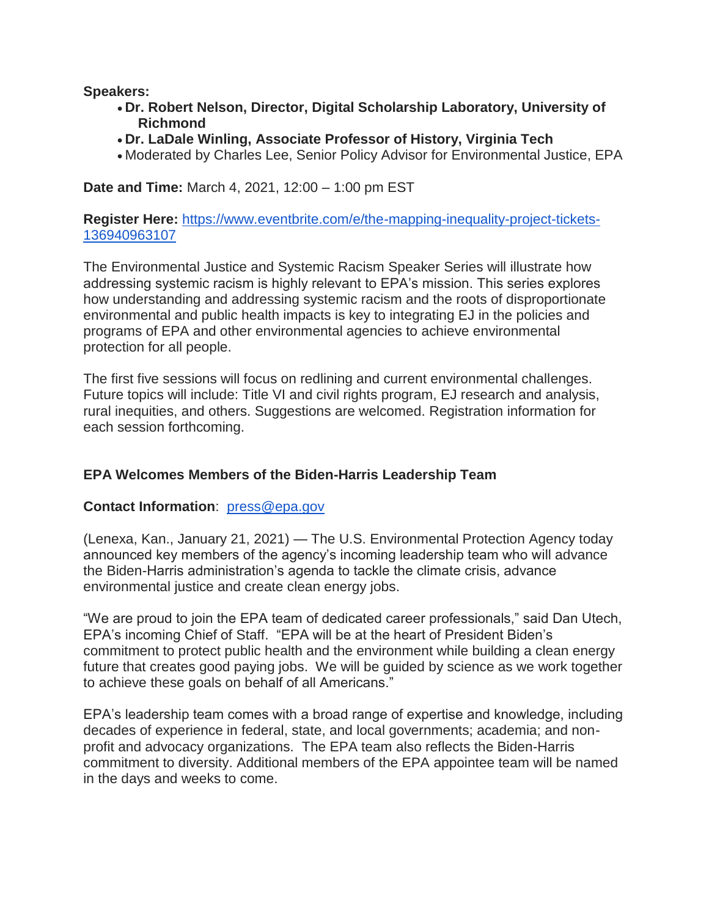**Speakers:**

- **Dr. Robert Nelson, Director, Digital Scholarship Laboratory, University of Richmond**
- **Dr. LaDale Winling, Associate Professor of History, Virginia Tech**
- Moderated by Charles Lee, Senior Policy Advisor for Environmental Justice, EPA

**Date and Time:** March 4, 2021, 12:00 – 1:00 pm EST

**Register Here:** [https://www.eventbrite.com/e/the-mapping-inequality-project-tickets-](https://gcc01.safelinks.protection.outlook.com/?url=https%3A%2F%2Fwww.eventbrite.com%2Fe%2Fthe-mapping-inequality-project-tickets-136940963107&data=04%7C01%7CMotilall.Christina%40epa.gov%7C68a9e69f31ad46ba699808d8be43cc54%7C88b378b367484867acf976aacbeca6a7%7C0%7C0%7C637468545689493510%7CUnknown%7CTWFpbGZsb3d8eyJWIjoiMC4wLjAwMDAiLCJQIjoiV2luMzIiLCJBTiI6Ik1haWwiLCJXVCI6Mn0%3D%7C1000&sdata=ONltWsfByTQKSa1R6ww%2Bt9fp8y6XgdjQNBR%2BbY2sHbs%3D&reserved=0)[136940963107](https://gcc01.safelinks.protection.outlook.com/?url=https%3A%2F%2Fwww.eventbrite.com%2Fe%2Fthe-mapping-inequality-project-tickets-136940963107&data=04%7C01%7CMotilall.Christina%40epa.gov%7C68a9e69f31ad46ba699808d8be43cc54%7C88b378b367484867acf976aacbeca6a7%7C0%7C0%7C637468545689493510%7CUnknown%7CTWFpbGZsb3d8eyJWIjoiMC4wLjAwMDAiLCJQIjoiV2luMzIiLCJBTiI6Ik1haWwiLCJXVCI6Mn0%3D%7C1000&sdata=ONltWsfByTQKSa1R6ww%2Bt9fp8y6XgdjQNBR%2BbY2sHbs%3D&reserved=0)

The Environmental Justice and Systemic Racism Speaker Series will illustrate how addressing systemic racism is highly relevant to EPA's mission. This series explores how understanding and addressing systemic racism and the roots of disproportionate environmental and public health impacts is key to integrating EJ in the policies and programs of EPA and other environmental agencies to achieve environmental protection for all people.

The first five sessions will focus on redlining and current environmental challenges. Future topics will include: Title VI and civil rights program, EJ research and analysis, rural inequities, and others. Suggestions are welcomed. Registration information for each session forthcoming.

# **EPA Welcomes Members of the Biden-Harris Leadership Team**

#### **Contact Information**: [press@epa.gov](mailto:press@epa.gov)

(Lenexa, Kan., January 21, 2021) — The U.S. Environmental Protection Agency today announced key members of the agency's incoming leadership team who will advance the Biden-Harris administration's agenda to tackle the climate crisis, advance environmental justice and create clean energy jobs.

"We are proud to join the EPA team of dedicated career professionals," said Dan Utech, EPA's incoming Chief of Staff. "EPA will be at the heart of President Biden's commitment to protect public health and the environment while building a clean energy future that creates good paying jobs. We will be guided by science as we work together to achieve these goals on behalf of all Americans."

EPA's leadership team comes with a broad range of expertise and knowledge, including decades of experience in federal, state, and local governments; academia; and nonprofit and advocacy organizations. The EPA team also reflects the Biden-Harris commitment to diversity. Additional members of the EPA appointee team will be named in the days and weeks to come.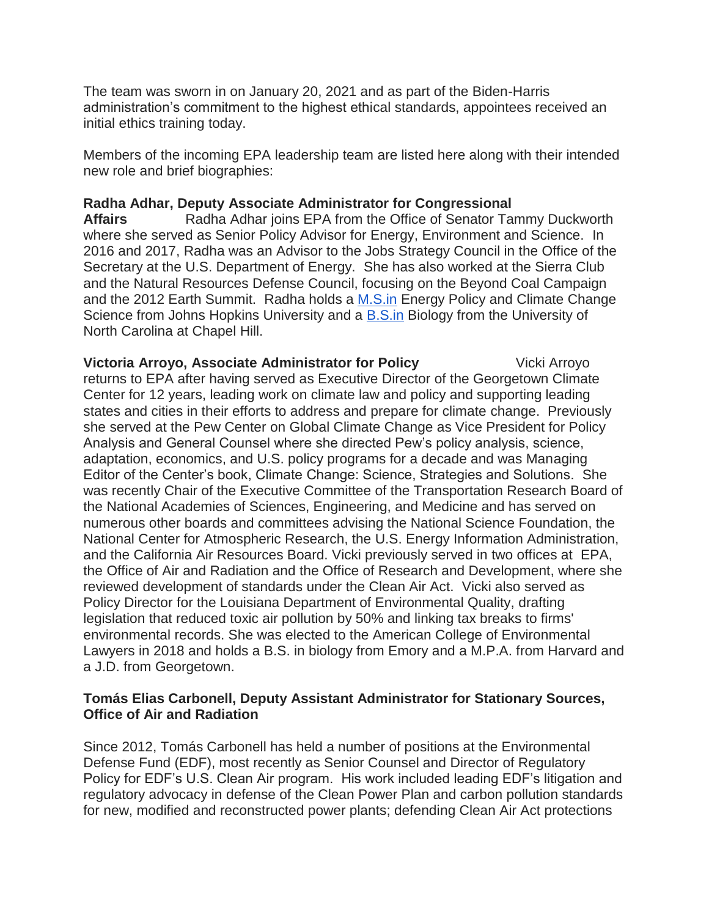The team was sworn in on January 20, 2021 and as part of the Biden-Harris administration's commitment to the highest ethical standards, appointees received an initial ethics training today.

Members of the incoming EPA leadership team are listed here along with their intended new role and brief biographies:

### **Radha Adhar, Deputy Associate Administrator for Congressional**

**Affairs** Radha Adhar joins EPA from the Office of Senator Tammy Duckworth where she served as Senior Policy Advisor for Energy, Environment and Science. In 2016 and 2017, Radha was an Advisor to the Jobs Strategy Council in the Office of the Secretary at the U.S. Department of Energy. She has also worked at the Sierra Club and the Natural Resources Defense Council, focusing on the Beyond Coal Campaign and the 2012 Earth Summit. Radha holds a [M.S.in](http://m.s.in/) Energy Policy and Climate Change Science from Johns Hopkins University and a [B.S.in](http://b.s.in/) Biology from the University of North Carolina at Chapel Hill.

**Victoria Arroyo, Associate Administrator for Policy** Vicki Arroyo returns to EPA after having served as Executive Director of the Georgetown Climate Center for 12 years, leading work on climate law and policy and supporting leading states and cities in their efforts to address and prepare for climate change. Previously she served at the Pew Center on Global Climate Change as Vice President for Policy Analysis and General Counsel where she directed Pew's policy analysis, science, adaptation, economics, and U.S. policy programs for a decade and was Managing Editor of the Center's book, Climate Change: Science, Strategies and Solutions. She was recently Chair of the Executive Committee of the Transportation Research Board of the National Academies of Sciences, Engineering, and Medicine and has served on numerous other boards and committees advising the National Science Foundation, the National Center for Atmospheric Research, the U.S. Energy Information Administration, and the California Air Resources Board. Vicki previously served in two offices at EPA, the Office of Air and Radiation and the Office of Research and Development, where she reviewed development of standards under the Clean Air Act. Vicki also served as Policy Director for the Louisiana Department of Environmental Quality, drafting legislation that reduced toxic air pollution by 50% and linking tax breaks to firms' environmental records. She was elected to the American College of Environmental Lawyers in 2018 and holds a B.S. in biology from Emory and a M.P.A. from Harvard and a J.D. from Georgetown.

#### **Tomás Elias Carbonell, Deputy Assistant Administrator for Stationary Sources, Office of Air and Radiation**

Since 2012, Tomás Carbonell has held a number of positions at the Environmental Defense Fund (EDF), most recently as Senior Counsel and Director of Regulatory Policy for EDF's U.S. Clean Air program. His work included leading EDF's litigation and regulatory advocacy in defense of the Clean Power Plan and carbon pollution standards for new, modified and reconstructed power plants; defending Clean Air Act protections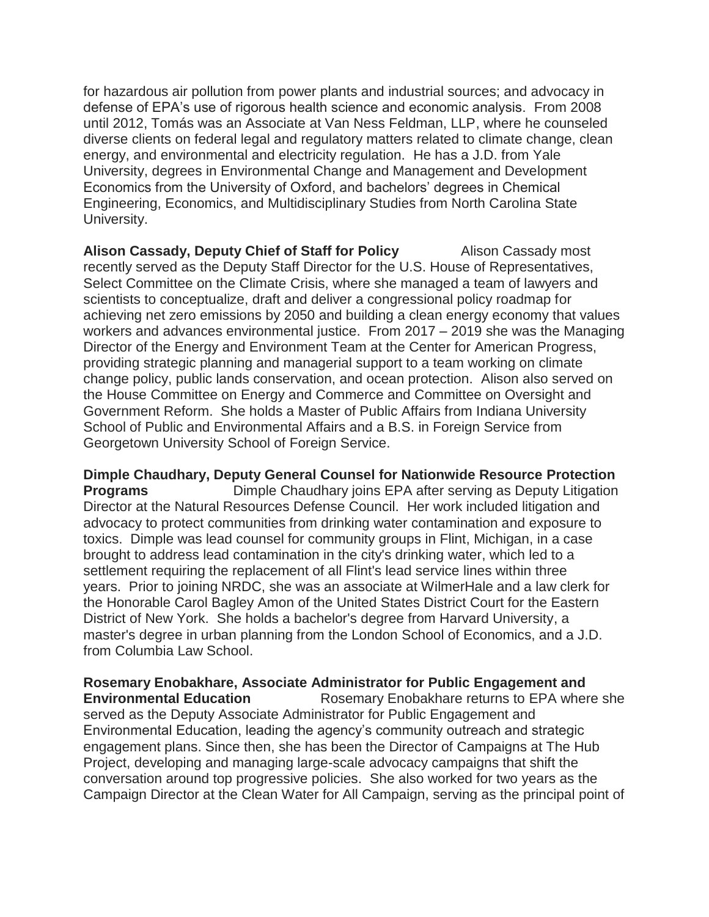for hazardous air pollution from power plants and industrial sources; and advocacy in defense of EPA's use of rigorous health science and economic analysis. From 2008 until 2012, Tomás was an Associate at Van Ness Feldman, LLP, where he counseled diverse clients on federal legal and regulatory matters related to climate change, clean energy, and environmental and electricity regulation. He has a J.D. from Yale University, degrees in Environmental Change and Management and Development Economics from the University of Oxford, and bachelors' degrees in Chemical Engineering, Economics, and Multidisciplinary Studies from North Carolina State University.

**Alison Cassady, Deputy Chief of Staff for Policy** Alison Cassady most recently served as the Deputy Staff Director for the U.S. House of Representatives, Select Committee on the Climate Crisis, where she managed a team of lawyers and scientists to conceptualize, draft and deliver a congressional policy roadmap for achieving net zero emissions by 2050 and building a clean energy economy that values workers and advances environmental justice. From 2017 – 2019 she was the Managing Director of the Energy and Environment Team at the Center for American Progress, providing strategic planning and managerial support to a team working on climate change policy, public lands conservation, and ocean protection. Alison also served on the House Committee on Energy and Commerce and Committee on Oversight and Government Reform. She holds a Master of Public Affairs from Indiana University School of Public and Environmental Affairs and a B.S. in Foreign Service from Georgetown University School of Foreign Service.

**Dimple Chaudhary, Deputy General Counsel for Nationwide Resource Protection Programs Dimple Chaudhary joins EPA after serving as Deputy Litigation** Director at the Natural Resources Defense Council. Her work included litigation and advocacy to protect communities from drinking water contamination and exposure to toxics. Dimple was lead counsel for community groups in Flint, Michigan, in a case brought to address lead contamination in the city's drinking water, which led to a settlement requiring the replacement of all Flint's lead service lines within three years. Prior to joining NRDC, she was an associate at WilmerHale and a law clerk for the Honorable Carol Bagley Amon of the United States District Court for the Eastern District of New York. She holds a bachelor's degree from Harvard University, a master's degree in urban planning from the London School of Economics, and a J.D. from Columbia Law School.

**Rosemary Enobakhare, Associate Administrator for Public Engagement and Environmental Education** Rosemary Enobakhare returns to EPA where she served as the Deputy Associate Administrator for Public Engagement and Environmental Education, leading the agency's community outreach and strategic engagement plans. Since then, she has been the Director of Campaigns at The Hub Project, developing and managing large-scale advocacy campaigns that shift the conversation around top progressive policies. She also worked for two years as the Campaign Director at the Clean Water for All Campaign, serving as the principal point of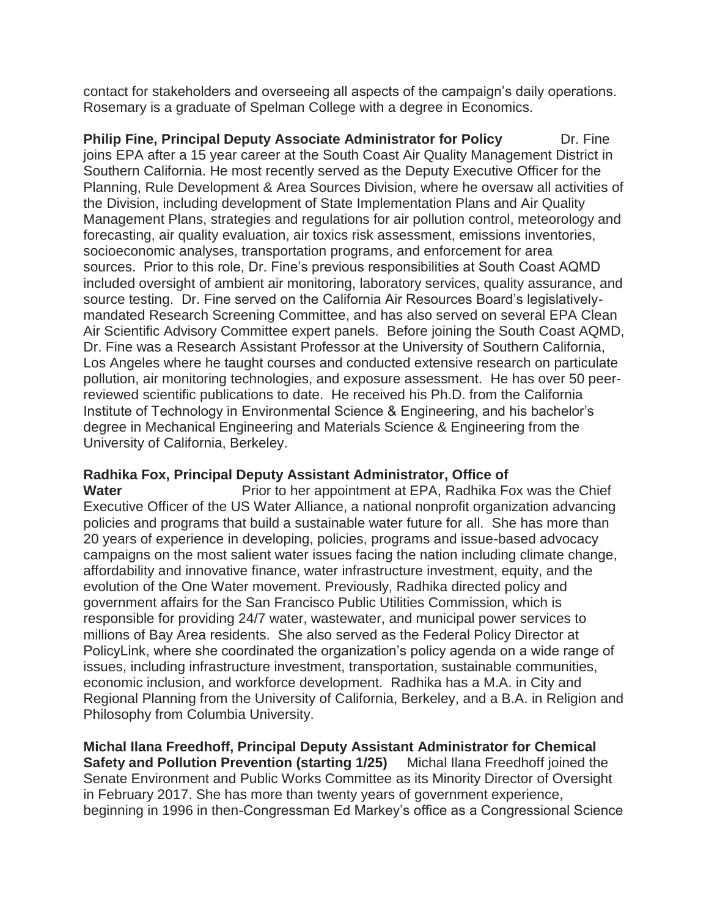contact for stakeholders and overseeing all aspects of the campaign's daily operations. Rosemary is a graduate of Spelman College with a degree in Economics.

**Philip Fine, Principal Deputy Associate Administrator for Policy Dr. Fine** joins EPA after a 15 year career at the South Coast Air Quality Management District in Southern California. He most recently served as the Deputy Executive Officer for the Planning, Rule Development & Area Sources Division, where he oversaw all activities of the Division, including development of State Implementation Plans and Air Quality Management Plans, strategies and regulations for air pollution control, meteorology and forecasting, air quality evaluation, air toxics risk assessment, emissions inventories, socioeconomic analyses, transportation programs, and enforcement for area sources. Prior to this role, Dr. Fine's previous responsibilities at South Coast AQMD included oversight of ambient air monitoring, laboratory services, quality assurance, and source testing. Dr. Fine served on the California Air Resources Board's legislativelymandated Research Screening Committee, and has also served on several EPA Clean Air Scientific Advisory Committee expert panels. Before joining the South Coast AQMD, Dr. Fine was a Research Assistant Professor at the University of Southern California, Los Angeles where he taught courses and conducted extensive research on particulate pollution, air monitoring technologies, and exposure assessment. He has over 50 peerreviewed scientific publications to date. He received his Ph.D. from the California Institute of Technology in Environmental Science & Engineering, and his bachelor's degree in Mechanical Engineering and Materials Science & Engineering from the University of California, Berkeley.

# **Radhika Fox, Principal Deputy Assistant Administrator, Office of**

**Water Prior to her appointment at EPA, Radhika Fox was the Chief** Executive Officer of the US Water Alliance, a national nonprofit organization advancing policies and programs that build a sustainable water future for all. She has more than 20 years of experience in developing, policies, programs and issue-based advocacy campaigns on the most salient water issues facing the nation including climate change, affordability and innovative finance, water infrastructure investment, equity, and the evolution of the One Water movement. Previously, Radhika directed policy and government affairs for the San Francisco Public Utilities Commission, which is responsible for providing 24/7 water, wastewater, and municipal power services to millions of Bay Area residents. She also served as the Federal Policy Director at PolicyLink, where she coordinated the organization's policy agenda on a wide range of issues, including infrastructure investment, transportation, sustainable communities, economic inclusion, and workforce development. Radhika has a M.A. in City and Regional Planning from the University of California, Berkeley, and a B.A. in Religion and Philosophy from Columbia University.

**Michal Ilana Freedhoff, Principal Deputy Assistant Administrator for Chemical Safety and Pollution Prevention (starting 1/25)** Michal Ilana Freedhoff joined the Senate Environment and Public Works Committee as its Minority Director of Oversight in February 2017. She has more than twenty years of government experience, beginning in 1996 in then-Congressman Ed Markey's office as a Congressional Science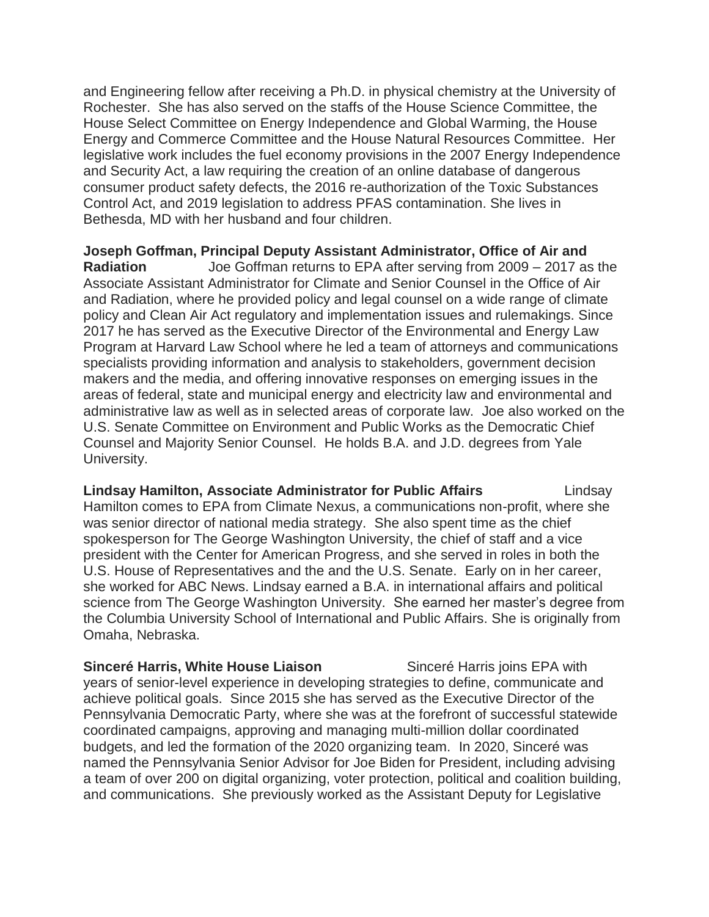and Engineering fellow after receiving a Ph.D. in physical chemistry at the University of Rochester. She has also served on the staffs of the House Science Committee, the House Select Committee on Energy Independence and Global Warming, the House Energy and Commerce Committee and the House Natural Resources Committee. Her legislative work includes the fuel economy provisions in the 2007 Energy Independence and Security Act, a law requiring the creation of an online database of dangerous consumer product safety defects, the 2016 re-authorization of the Toxic Substances Control Act, and 2019 legislation to address PFAS contamination. She lives in Bethesda, MD with her husband and four children.

**Joseph Goffman, Principal Deputy Assistant Administrator, Office of Air and Radiation** Joe Goffman returns to EPA after serving from 2009 – 2017 as the Associate Assistant Administrator for Climate and Senior Counsel in the Office of Air and Radiation, where he provided policy and legal counsel on a wide range of climate policy and Clean Air Act regulatory and implementation issues and rulemakings. Since 2017 he has served as the Executive Director of the Environmental and Energy Law Program at Harvard Law School where he led a team of attorneys and communications specialists providing information and analysis to stakeholders, government decision makers and the media, and offering innovative responses on emerging issues in the areas of federal, state and municipal energy and electricity law and environmental and administrative law as well as in selected areas of corporate law. Joe also worked on the U.S. Senate Committee on Environment and Public Works as the Democratic Chief Counsel and Majority Senior Counsel. He holds B.A. and J.D. degrees from Yale University.

**Lindsay Hamilton, Associate Administrator for Public Affairs Lindsay Lindsay** Hamilton comes to EPA from Climate Nexus, a communications non-profit, where she was senior director of national media strategy. She also spent time as the chief spokesperson for The George Washington University, the chief of staff and a vice president with the Center for American Progress, and she served in roles in both the U.S. House of Representatives and the and the U.S. Senate. Early on in her career, she worked for ABC News. Lindsay earned a B.A. in international affairs and political science from The George Washington University. She earned her master's degree from the Columbia University School of International and Public Affairs. She is originally from Omaha, Nebraska.

**Sinceré Harris, White House Liaison** Sinceré Harris joins EPA with years of senior-level experience in developing strategies to define, communicate and achieve political goals. Since 2015 she has served as the Executive Director of the Pennsylvania Democratic Party, where she was at the forefront of successful statewide coordinated campaigns, approving and managing multi-million dollar coordinated budgets, and led the formation of the 2020 organizing team. In 2020, Sinceré was named the Pennsylvania Senior Advisor for Joe Biden for President, including advising a team of over 200 on digital organizing, voter protection, political and coalition building, and communications. She previously worked as the Assistant Deputy for Legislative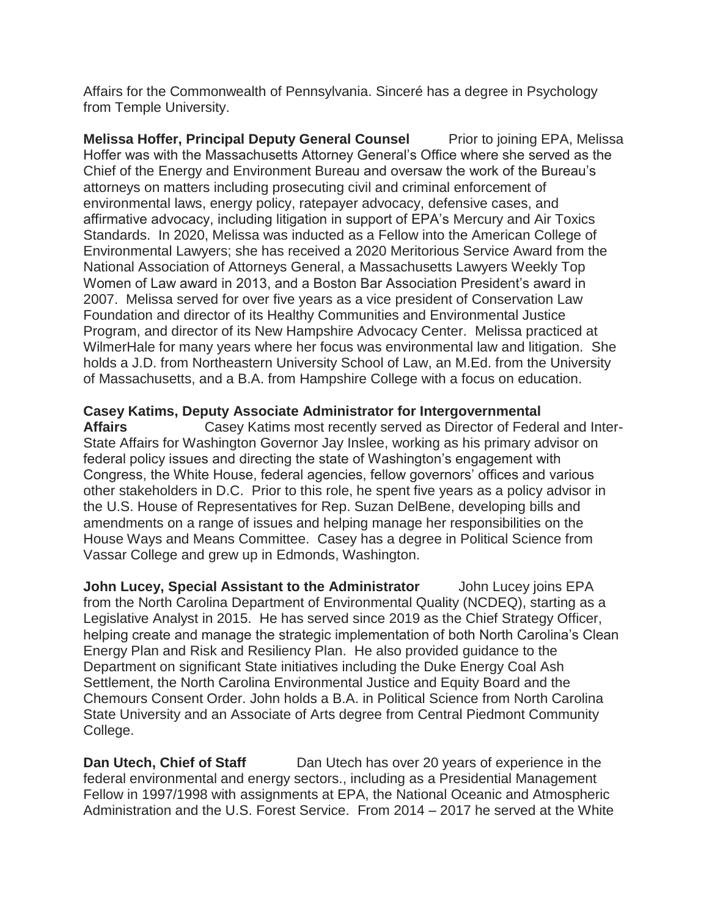Affairs for the Commonwealth of Pennsylvania. Sinceré has a degree in Psychology from Temple University.

**Melissa Hoffer, Principal Deputy General Counsel Prior to joining EPA, Melissa** Hoffer was with the Massachusetts Attorney General's Office where she served as the Chief of the Energy and Environment Bureau and oversaw the work of the Bureau's attorneys on matters including prosecuting civil and criminal enforcement of environmental laws, energy policy, ratepayer advocacy, defensive cases, and affirmative advocacy, including litigation in support of EPA's Mercury and Air Toxics Standards. In 2020, Melissa was inducted as a Fellow into the American College of Environmental Lawyers; she has received a 2020 Meritorious Service Award from the National Association of Attorneys General, a Massachusetts Lawyers Weekly Top Women of Law award in 2013, and a Boston Bar Association President's award in 2007. Melissa served for over five years as a vice president of Conservation Law Foundation and director of its Healthy Communities and Environmental Justice Program, and director of its New Hampshire Advocacy Center. Melissa practiced at WilmerHale for many years where her focus was environmental law and litigation. She holds a J.D. from Northeastern University School of Law, an M.Ed. from the University of Massachusetts, and a B.A. from Hampshire College with a focus on education.

#### **Casey Katims, Deputy Associate Administrator for Intergovernmental**

**Affairs** Casey Katims most recently served as Director of Federal and Inter-State Affairs for Washington Governor Jay Inslee, working as his primary advisor on federal policy issues and directing the state of Washington's engagement with Congress, the White House, federal agencies, fellow governors' offices and various other stakeholders in D.C. Prior to this role, he spent five years as a policy advisor in the U.S. House of Representatives for Rep. Suzan DelBene, developing bills and amendments on a range of issues and helping manage her responsibilities on the House Ways and Means Committee. Casey has a degree in Political Science from Vassar College and grew up in Edmonds, Washington.

**John Lucey, Special Assistant to the Administrator** John Lucey joins EPA from the North Carolina Department of Environmental Quality (NCDEQ), starting as a Legislative Analyst in 2015. He has served since 2019 as the Chief Strategy Officer, helping create and manage the strategic implementation of both North Carolina's Clean Energy Plan and Risk and Resiliency Plan. He also provided guidance to the Department on significant State initiatives including the Duke Energy Coal Ash Settlement, the North Carolina Environmental Justice and Equity Board and the Chemours Consent Order. John holds a B.A. in Political Science from North Carolina State University and an Associate of Arts degree from Central Piedmont Community College.

**Dan Utech, Chief of Staff** Dan Utech has over 20 years of experience in the federal environmental and energy sectors., including as a Presidential Management Fellow in 1997/1998 with assignments at EPA, the National Oceanic and Atmospheric Administration and the U.S. Forest Service. From 2014 – 2017 he served at the White